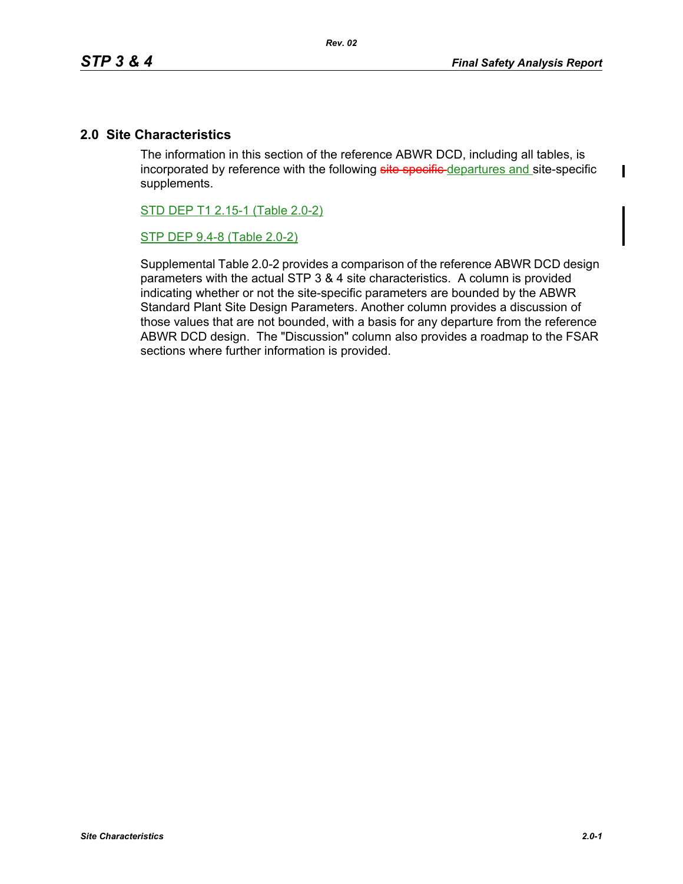$\mathbf I$ 

# **2.0 Site Characteristics**

The information in this section of the reference ABWR DCD, including all tables, is incorporated by reference with the following site specific-departures and site-specific supplements.

STD DEP T1 2.15-1 (Table 2.0-2)

STP DEP 9.4-8 (Table 2.0-2)

Supplemental Table 2.0-2 provides a comparison of the reference ABWR DCD design parameters with the actual STP 3 & 4 site characteristics. A column is provided indicating whether or not the site-specific parameters are bounded by the ABWR Standard Plant Site Design Parameters. Another column provides a discussion of those values that are not bounded, with a basis for any departure from the reference ABWR DCD design. The "Discussion" column also provides a roadmap to the FSAR sections where further information is provided.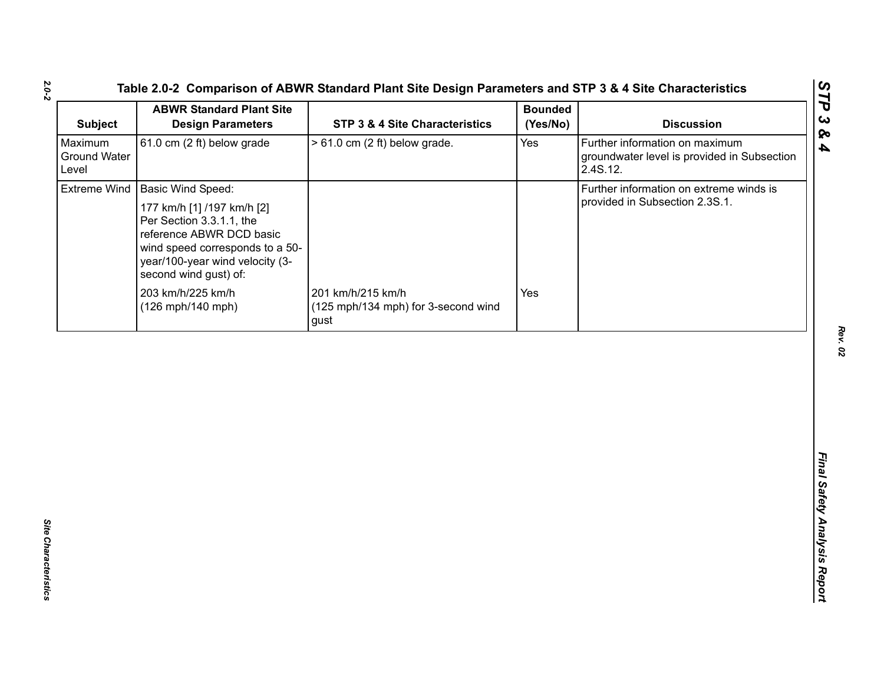| <b>Subject</b>                          | <b>ABWR Standard Plant Site</b><br><b>Design Parameters</b>                                                                                                                       | STP 3 & 4 Site Characteristics                                   | <b>Bounded</b><br>(Yes/No) | <b>Discussion</b>                                                                         |
|-----------------------------------------|-----------------------------------------------------------------------------------------------------------------------------------------------------------------------------------|------------------------------------------------------------------|----------------------------|-------------------------------------------------------------------------------------------|
| Maximum<br><b>Ground Water</b><br>Level | 61.0 cm (2 ft) below grade                                                                                                                                                        | $> 61.0$ cm (2 ft) below grade.                                  | Yes                        | Further information on maximum<br>groundwater level is provided in Subsection<br>2.4S.12. |
|                                         | Extreme Wind   Basic Wind Speed:                                                                                                                                                  |                                                                  |                            | Further information on extreme winds is                                                   |
|                                         | 177 km/h [1] /197 km/h [2]<br>Per Section 3.3.1.1, the<br>reference ABWR DCD basic<br>wind speed corresponds to a 50-<br>year/100-year wind velocity (3-<br>second wind gust) of: |                                                                  |                            | provided in Subsection 2.3S.1.                                                            |
|                                         | 203 km/h/225 km/h<br>(126 mph/140 mph)                                                                                                                                            | 201 km/h/215 km/h<br>(125 mph/134 mph) for 3-second wind<br>gust | Yes                        |                                                                                           |
|                                         |                                                                                                                                                                                   |                                                                  |                            |                                                                                           |
|                                         |                                                                                                                                                                                   |                                                                  |                            |                                                                                           |
|                                         |                                                                                                                                                                                   |                                                                  |                            |                                                                                           |
|                                         |                                                                                                                                                                                   |                                                                  |                            |                                                                                           |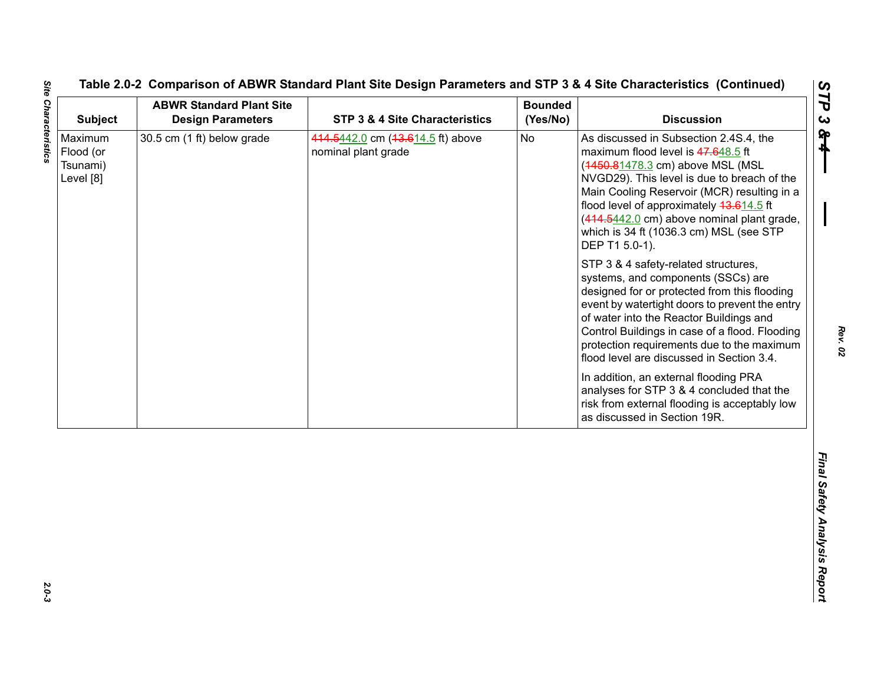| 30.5 cm (1 ft) below grade<br><b>No</b><br>As discussed in Subsection 2.4S.4, the<br>Maximum<br>414.5442.0 cm (43.614.5 ft) above<br>nominal plant grade<br>maximum flood level is 47.648.5 ft<br>Flood (or<br>(4450.81478.3 cm) above MSL (MSL<br>Tsunami)<br>NVGD29). This level is due to breach of the<br>Level [8]<br>Main Cooling Reservoir (MCR) resulting in a<br>flood level of approximately 43.614.5 ft<br>(414.5442.0 cm) above nominal plant grade,<br>which is 34 ft (1036.3 cm) MSL (see STP<br>DEP T1 5.0-1).<br>STP 3 & 4 safety-related structures,<br>systems, and components (SSCs) are<br>designed for or protected from this flooding<br>of water into the Reactor Buildings and<br>Control Buildings in case of a flood. Flooding<br>protection requirements due to the maximum<br>flood level are discussed in Section 3.4.<br>In addition, an external flooding PRA<br>analyses for STP 3 & 4 concluded that the<br>risk from external flooding is acceptably low<br>as discussed in Section 19R. | <b>Design Parameters</b> | <b>STP 3 &amp; 4 Site Characteristics</b> | <b>Bounded</b><br>(Yes/No) | <b>Discussion</b>                              |
|----------------------------------------------------------------------------------------------------------------------------------------------------------------------------------------------------------------------------------------------------------------------------------------------------------------------------------------------------------------------------------------------------------------------------------------------------------------------------------------------------------------------------------------------------------------------------------------------------------------------------------------------------------------------------------------------------------------------------------------------------------------------------------------------------------------------------------------------------------------------------------------------------------------------------------------------------------------------------------------------------------------------------|--------------------------|-------------------------------------------|----------------------------|------------------------------------------------|
|                                                                                                                                                                                                                                                                                                                                                                                                                                                                                                                                                                                                                                                                                                                                                                                                                                                                                                                                                                                                                            |                          |                                           |                            |                                                |
|                                                                                                                                                                                                                                                                                                                                                                                                                                                                                                                                                                                                                                                                                                                                                                                                                                                                                                                                                                                                                            |                          |                                           |                            | event by watertight doors to prevent the entry |
|                                                                                                                                                                                                                                                                                                                                                                                                                                                                                                                                                                                                                                                                                                                                                                                                                                                                                                                                                                                                                            |                          |                                           |                            |                                                |
|                                                                                                                                                                                                                                                                                                                                                                                                                                                                                                                                                                                                                                                                                                                                                                                                                                                                                                                                                                                                                            |                          |                                           |                            |                                                |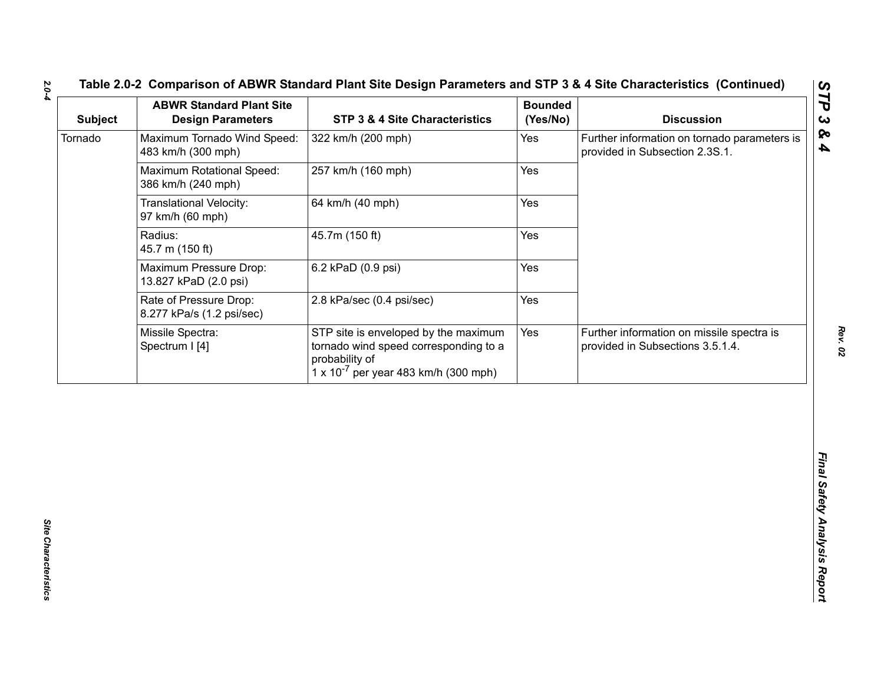| Further information on tornado parameters is<br>Yes<br>provided in Subsection 2.3S.1.<br>Yes<br>Yes<br>Yes                                                                                                              | Maximum Tornado Wind Speed:<br>322 km/h (200 mph)<br>483 km/h (300 mph)<br>Maximum Rotational Speed:<br>257 km/h (160 mph)<br>386 km/h (240 mph)<br>Translational Velocity:<br>64 km/h (40 mph) |
|-------------------------------------------------------------------------------------------------------------------------------------------------------------------------------------------------------------------------|-------------------------------------------------------------------------------------------------------------------------------------------------------------------------------------------------|
|                                                                                                                                                                                                                         |                                                                                                                                                                                                 |
|                                                                                                                                                                                                                         |                                                                                                                                                                                                 |
|                                                                                                                                                                                                                         | 97 km/h (60 mph)                                                                                                                                                                                |
|                                                                                                                                                                                                                         | Radius:<br>45.7m (150 ft)<br>45.7 m (150 ft)                                                                                                                                                    |
| Yes                                                                                                                                                                                                                     | Maximum Pressure Drop:<br>6.2 kPaD (0.9 psi)<br>13.827 kPaD (2.0 psi)                                                                                                                           |
| Yes                                                                                                                                                                                                                     | Rate of Pressure Drop:<br>2.8 kPa/sec (0.4 psi/sec)<br>8.277 kPa/s (1.2 psi/sec)                                                                                                                |
| STP site is enveloped by the maximum<br>Yes<br>Further information on missile spectra is<br>tornado wind speed corresponding to a<br>provided in Subsections 3.5.1.4.<br>$1 \times 10^{-7}$ per year 483 km/h (300 mph) | Missile Spectra:<br>Spectrum I [4]<br>probability of                                                                                                                                            |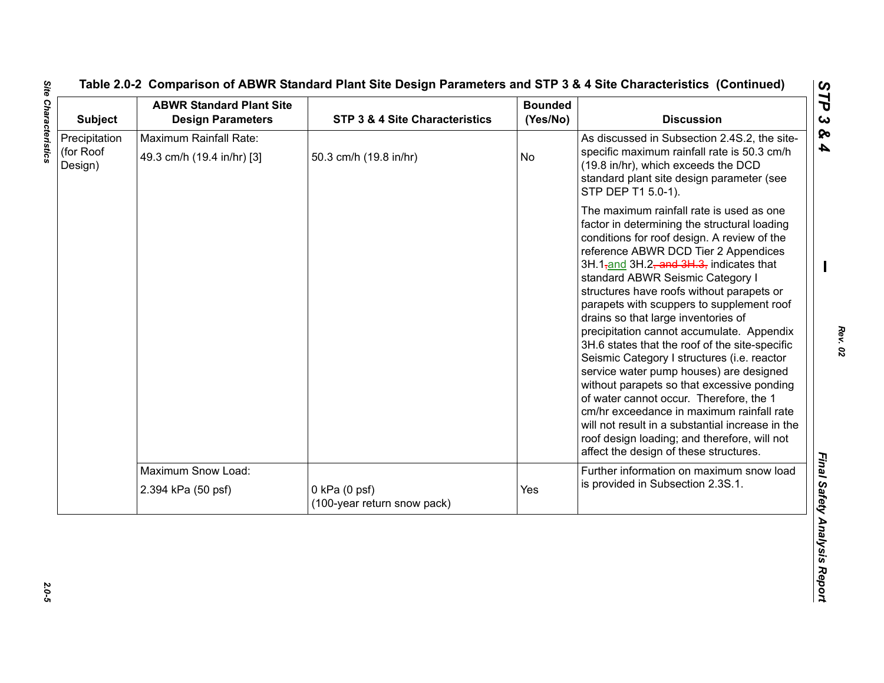| <b>Subject</b>                        | <b>ABWR Standard Plant Site</b><br><b>Design Parameters</b> | STP 3 & 4 Site Characteristics                   | <b>Bounded</b><br>(Yes/No) | <b>Discussion</b>                                                                                                                                                                                                                                                                                                                                                                                                                                                                                                                                                                                                                                                                                                                                                                                                                                                                         |
|---------------------------------------|-------------------------------------------------------------|--------------------------------------------------|----------------------------|-------------------------------------------------------------------------------------------------------------------------------------------------------------------------------------------------------------------------------------------------------------------------------------------------------------------------------------------------------------------------------------------------------------------------------------------------------------------------------------------------------------------------------------------------------------------------------------------------------------------------------------------------------------------------------------------------------------------------------------------------------------------------------------------------------------------------------------------------------------------------------------------|
| Precipitation<br>(for Roof<br>Design) | Maximum Rainfall Rate:<br>49.3 cm/h (19.4 in/hr) [3]        | 50.3 cm/h (19.8 in/hr)                           | No                         | As discussed in Subsection 2.4S.2, the site-<br>specific maximum rainfall rate is 50.3 cm/h<br>(19.8 in/hr), which exceeds the DCD<br>standard plant site design parameter (see<br>STP DEP T1 5.0-1).                                                                                                                                                                                                                                                                                                                                                                                                                                                                                                                                                                                                                                                                                     |
|                                       |                                                             |                                                  |                            | The maximum rainfall rate is used as one<br>factor in determining the structural loading<br>conditions for roof design. A review of the<br>reference ABWR DCD Tier 2 Appendices<br>3H.1 <sub>7</sub> and 3H.2, and 3H.3, indicates that<br>standard ABWR Seismic Category I<br>structures have roofs without parapets or<br>parapets with scuppers to supplement roof<br>drains so that large inventories of<br>precipitation cannot accumulate. Appendix<br>3H.6 states that the roof of the site-specific<br>Seismic Category I structures (i.e. reactor<br>service water pump houses) are designed<br>without parapets so that excessive ponding<br>of water cannot occur. Therefore, the 1<br>cm/hr exceedance in maximum rainfall rate<br>will not result in a substantial increase in the<br>roof design loading; and therefore, will not<br>affect the design of these structures. |
|                                       | Maximum Snow Load:                                          |                                                  |                            | Further information on maximum snow load                                                                                                                                                                                                                                                                                                                                                                                                                                                                                                                                                                                                                                                                                                                                                                                                                                                  |
|                                       | 2.394 kPa (50 psf)                                          | $0$ kPa $(0$ psf)<br>(100-year return snow pack) | Yes                        | is provided in Subsection 2.3S.1.                                                                                                                                                                                                                                                                                                                                                                                                                                                                                                                                                                                                                                                                                                                                                                                                                                                         |

<u>ြက</u>

2.0-5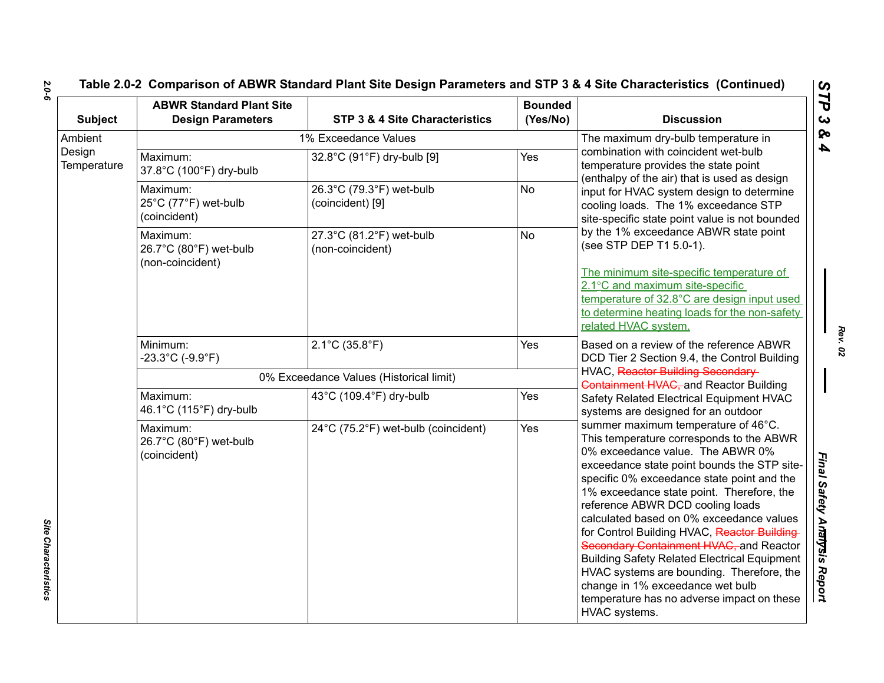# **Table 2.0-2 Comparison of ABWR Standard Plant Site Design Parameters and STP 3 & 4 Site Characteristics (Continued)**

| <b>Subject</b>                   | <b>ABWR Standard Plant Site</b><br><b>Design Parameters</b>  | STP 3 & 4 Site Characteristics               | <b>Bounded</b><br>(Yes/No)          | <b>Discussion</b>                                                                                                                                                                                                                                                                                                                                                                                                                                                                                                                                                                                                                              |  |  |
|----------------------------------|--------------------------------------------------------------|----------------------------------------------|-------------------------------------|------------------------------------------------------------------------------------------------------------------------------------------------------------------------------------------------------------------------------------------------------------------------------------------------------------------------------------------------------------------------------------------------------------------------------------------------------------------------------------------------------------------------------------------------------------------------------------------------------------------------------------------------|--|--|
| Ambient<br>Design<br>Temperature | 1% Exceedance Values<br>combination with coincident wet-bulb |                                              | The maximum dry-bulb temperature in |                                                                                                                                                                                                                                                                                                                                                                                                                                                                                                                                                                                                                                                |  |  |
|                                  | Maximum:<br>37.8°C (100°F) dry-bulb                          | 32.8°C (91°F) dry-bulb [9]                   | Yes                                 | temperature provides the state point<br>(enthalpy of the air) that is used as design                                                                                                                                                                                                                                                                                                                                                                                                                                                                                                                                                           |  |  |
|                                  | Maximum:<br>25°C (77°F) wet-bulb<br>(coincident)             | 26.3°C (79.3°F) wet-bulb<br>(coincident) [9] | <b>No</b>                           | input for HVAC system design to determine<br>cooling loads. The 1% exceedance STP<br>site-specific state point value is not bounded                                                                                                                                                                                                                                                                                                                                                                                                                                                                                                            |  |  |
|                                  | Maximum:<br>26.7°C (80°F) wet-bulb<br>(non-coincident)       | 27.3°C (81.2°F) wet-bulb<br>(non-coincident) | <b>No</b>                           | by the 1% exceedance ABWR state point<br>(see STP DEP T1 5.0-1).                                                                                                                                                                                                                                                                                                                                                                                                                                                                                                                                                                               |  |  |
|                                  |                                                              |                                              |                                     | The minimum site-specific temperature of<br>2.1°C and maximum site-specific<br>temperature of 32.8°C are design input used<br>to determine heating loads for the non-safety<br>related HVAC system.                                                                                                                                                                                                                                                                                                                                                                                                                                            |  |  |
|                                  | Minimum:<br>$-23.3^{\circ}$ C (-9.9 $^{\circ}$ F)            | $2.1^{\circ}$ C (35.8 $^{\circ}$ F)          | Yes                                 | Based on a review of the reference ABWR<br>DCD Tier 2 Section 9.4, the Control Building                                                                                                                                                                                                                                                                                                                                                                                                                                                                                                                                                        |  |  |
|                                  |                                                              | 0% Exceedance Values (Historical limit)      |                                     | HVAC, Reactor Building Secondary<br><b>Containment HVAC, and Reactor Building</b>                                                                                                                                                                                                                                                                                                                                                                                                                                                                                                                                                              |  |  |
|                                  | Maximum:<br>46.1°C (115°F) dry-bulb                          | 43°C (109.4°F) dry-bulb                      | Yes                                 | Safety Related Electrical Equipment HVAC<br>systems are designed for an outdoor                                                                                                                                                                                                                                                                                                                                                                                                                                                                                                                                                                |  |  |
|                                  | Maximum:<br>26.7°C (80°F) wet-bulb<br>(coincident)           | 24°C (75.2°F) wet-bulb (coincident)          | Yes                                 | summer maximum temperature of 46°C.<br>This temperature corresponds to the ABWR<br>0% exceedance value. The ABWR 0%<br>exceedance state point bounds the STP site-<br>specific 0% exceedance state point and the<br>1% exceedance state point. Therefore, the<br>reference ABWR DCD cooling loads<br>calculated based on 0% exceedance values<br>for Control Building HVAC, Reactor Building<br>Secondary Containment HVAC, and Reactor<br><b>Building Safety Related Electrical Equipment</b><br>HVAC systems are bounding. Therefore, the<br>change in 1% exceedance wet bulb<br>temperature has no adverse impact on these<br>HVAC systems. |  |  |

*2.0-6*

*Rev. 02*

Site Characteristics *Site Characteristics*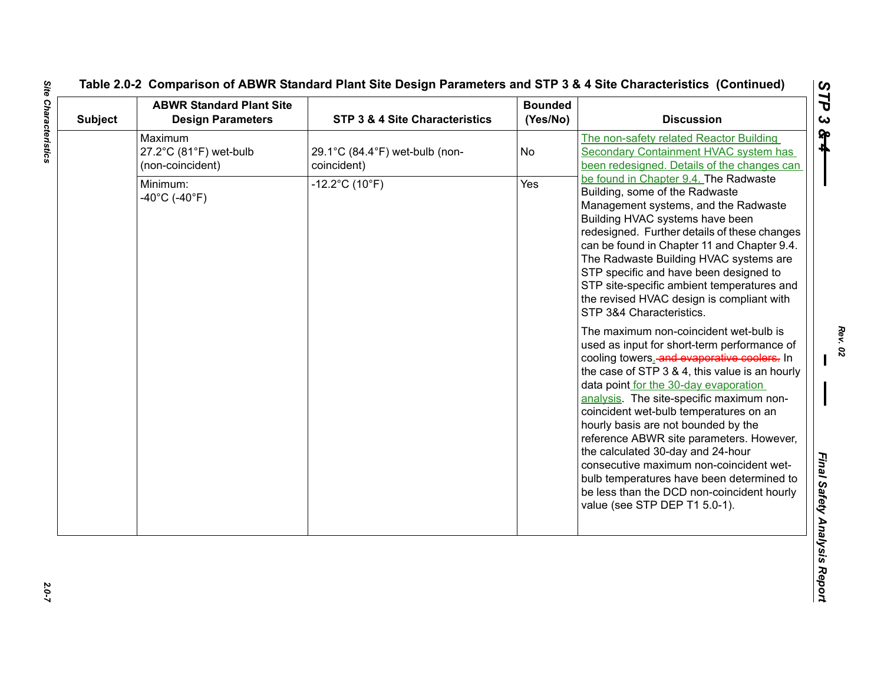| <b>Subject</b> | <b>ABWR Standard Plant Site</b><br><b>Design Parameters</b> | STP 3 & 4 Site Characteristics                | <b>Bounded</b><br>(Yes/No) | <b>Discussion</b>                                                                                                                                                                                                                                                                                                                                                                                                                                                                                                                                     |
|----------------|-------------------------------------------------------------|-----------------------------------------------|----------------------------|-------------------------------------------------------------------------------------------------------------------------------------------------------------------------------------------------------------------------------------------------------------------------------------------------------------------------------------------------------------------------------------------------------------------------------------------------------------------------------------------------------------------------------------------------------|
|                | Maximum<br>27.2°C (81°F) wet-bulb<br>(non-coincident)       | 29.1°C (84.4°F) wet-bulb (non-<br>coincident) | No                         | The non-safety related Reactor Building<br>Secondary Containment HVAC system has<br>been redesigned. Details of the changes can                                                                                                                                                                                                                                                                                                                                                                                                                       |
|                | Minimum:<br>$-40^{\circ}$ C (-40 $^{\circ}$ F)              | $-12.2^{\circ}$ C (10 $^{\circ}$ F)           | Yes                        | be found in Chapter 9.4. The Radwaste<br>Building, some of the Radwaste<br>Management systems, and the Radwaste<br>Building HVAC systems have been<br>redesigned. Further details of these changes<br>can be found in Chapter 11 and Chapter 9.4.<br>The Radwaste Building HVAC systems are<br>STP specific and have been designed to<br>STP site-specific ambient temperatures and<br>the revised HVAC design is compliant with<br>STP 3&4 Characteristics.<br>The maximum non-coincident wet-bulb is<br>used as input for short-term performance of |
|                |                                                             |                                               |                            | cooling towers. and evaporative coolers. In<br>the case of STP 3 & 4, this value is an hourly<br>data point for the 30-day evaporation<br>analysis. The site-specific maximum non-<br>coincident wet-bulb temperatures on an<br>hourly basis are not bounded by the<br>reference ABWR site parameters. However,<br>the calculated 30-day and 24-hour<br>consecutive maximum non-coincident wet-<br>bulb temperatures have been determined to<br>be less than the DCD non-coincident hourly<br>value (see STP DEP T1 5.0-1).                           |

2.0-7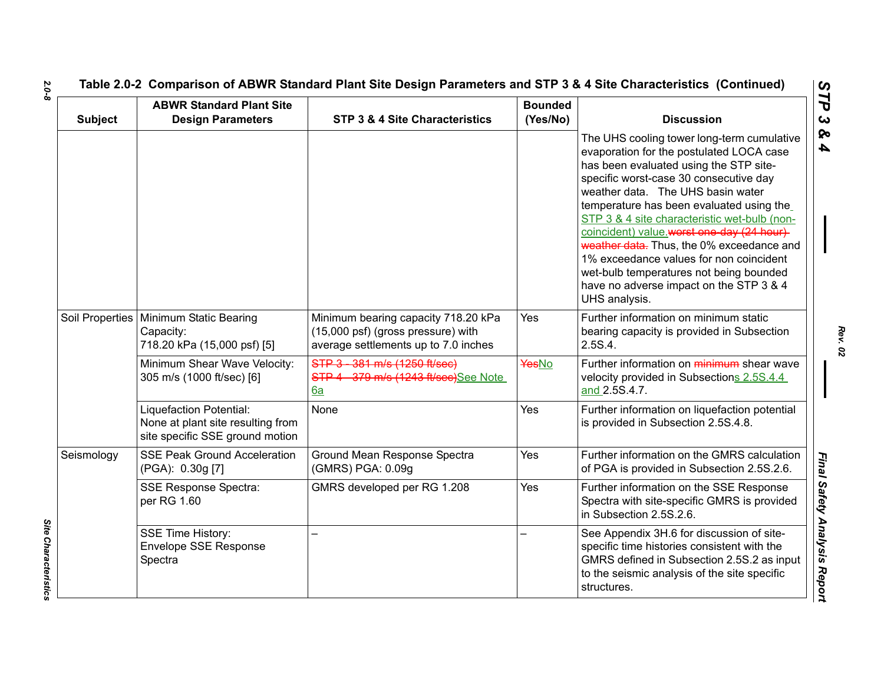| <b>Subject</b>  | <b>ABWR Standard Plant Site</b><br><b>Design Parameters</b>                                     | <b>STP 3 &amp; 4 Site Characteristics</b>                                                                         | <b>Bounded</b><br>(Yes/No) | <b>Discussion</b>                                                                                                                                                                                                                                                                                                                                                                                                                                                                                                                                       |
|-----------------|-------------------------------------------------------------------------------------------------|-------------------------------------------------------------------------------------------------------------------|----------------------------|---------------------------------------------------------------------------------------------------------------------------------------------------------------------------------------------------------------------------------------------------------------------------------------------------------------------------------------------------------------------------------------------------------------------------------------------------------------------------------------------------------------------------------------------------------|
|                 |                                                                                                 |                                                                                                                   |                            | The UHS cooling tower long-term cumulative<br>evaporation for the postulated LOCA case<br>has been evaluated using the STP site-<br>specific worst-case 30 consecutive day<br>weather data. The UHS basin water<br>temperature has been evaluated using the<br>STP 3 & 4 site characteristic wet-bulb (non-<br>coincident) value.worst one-day (24 hour)<br>weather data. Thus, the 0% exceedance and<br>1% exceedance values for non coincident<br>wet-bulb temperatures not being bounded<br>have no adverse impact on the STP 3 & 4<br>UHS analysis. |
| Soil Properties | Minimum Static Bearing<br>Capacity:<br>718.20 kPa (15,000 psf) [5]                              | Minimum bearing capacity 718.20 kPa<br>(15,000 psf) (gross pressure) with<br>average settlements up to 7.0 inches | Yes                        | Further information on minimum static<br>bearing capacity is provided in Subsection<br>2.5S.4.                                                                                                                                                                                                                                                                                                                                                                                                                                                          |
|                 | Minimum Shear Wave Velocity:<br>305 m/s (1000 ft/sec) [6]                                       | STP 3 - 381 m/s (1250 ft/sec)<br>STP 4 379 m/s (1243 ft/sec)See Note<br>6a                                        | YesNo                      | Further information on minimum shear wave<br>velocity provided in Subsections 2.5S.4.4<br>and 2.5S.4.7.                                                                                                                                                                                                                                                                                                                                                                                                                                                 |
|                 | Liquefaction Potential:<br>None at plant site resulting from<br>site specific SSE ground motion | None                                                                                                              | Yes                        | Further information on liquefaction potential<br>is provided in Subsection 2.5S.4.8.                                                                                                                                                                                                                                                                                                                                                                                                                                                                    |
| Seismology      | <b>SSE Peak Ground Acceleration</b><br>(PGA): 0.30g [7]                                         | Ground Mean Response Spectra<br>(GMRS) PGA: 0.09g                                                                 | Yes                        | Further information on the GMRS calculation<br>of PGA is provided in Subsection 2.5S.2.6.                                                                                                                                                                                                                                                                                                                                                                                                                                                               |
|                 | <b>SSE Response Spectra:</b><br>per RG 1.60                                                     | GMRS developed per RG 1.208                                                                                       | Yes                        | Further information on the SSE Response<br>Spectra with site-specific GMRS is provided<br>in Subsection 2.5S.2.6.                                                                                                                                                                                                                                                                                                                                                                                                                                       |
|                 | <b>SSE Time History:</b><br><b>Envelope SSE Response</b><br>Spectra                             |                                                                                                                   |                            | See Appendix 3H.6 for discussion of site-<br>specific time histories consistent with the<br>GMRS defined in Subsection 2.5S.2 as input<br>to the seismic analysis of the site specific<br>structures.                                                                                                                                                                                                                                                                                                                                                   |

*2.0-8*

*Rev. 02*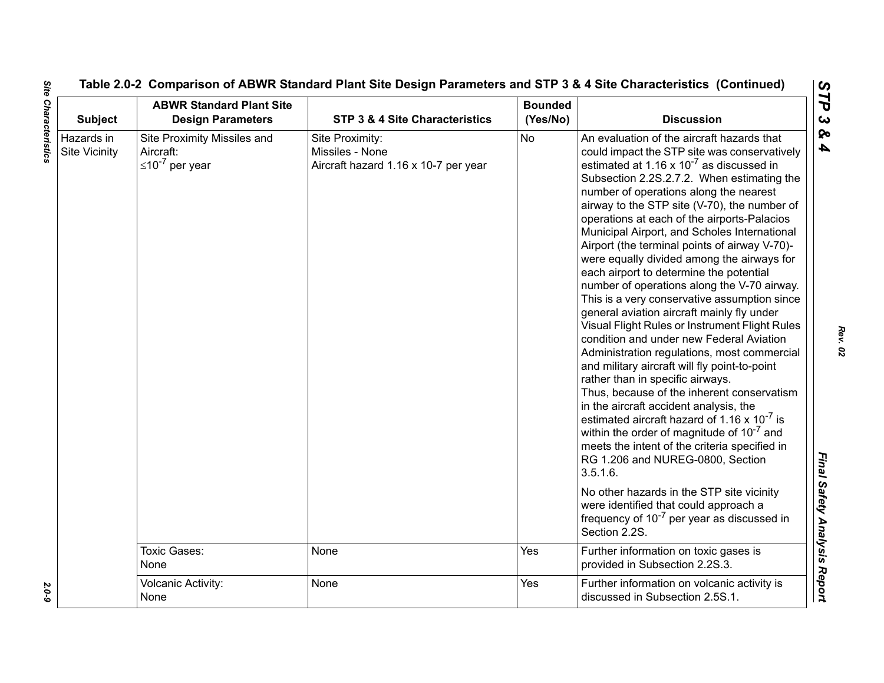| <b>Subject</b>                     | <b>ABWR Standard Plant Site</b><br><b>Design Parameters</b>         | STP 3 & 4 Site Characteristics                                             | <b>Bounded</b><br>(Yes/No) | <b>Discussion</b>                                                                                                                                                                                                                                                                                                                                                                                                                                                                                                                                                                                                                                                                                                                                                                                                                                                                                                                                                                                                                                                                                                                                                                                                                                                                                                                                                                                |
|------------------------------------|---------------------------------------------------------------------|----------------------------------------------------------------------------|----------------------------|--------------------------------------------------------------------------------------------------------------------------------------------------------------------------------------------------------------------------------------------------------------------------------------------------------------------------------------------------------------------------------------------------------------------------------------------------------------------------------------------------------------------------------------------------------------------------------------------------------------------------------------------------------------------------------------------------------------------------------------------------------------------------------------------------------------------------------------------------------------------------------------------------------------------------------------------------------------------------------------------------------------------------------------------------------------------------------------------------------------------------------------------------------------------------------------------------------------------------------------------------------------------------------------------------------------------------------------------------------------------------------------------------|
| Hazards in<br><b>Site Vicinity</b> | Site Proximity Missiles and<br>Aircraft:<br>$\leq 10^{-7}$ per year | Site Proximity:<br>Missiles - None<br>Aircraft hazard 1.16 x 10-7 per year | <b>No</b>                  | An evaluation of the aircraft hazards that<br>could impact the STP site was conservatively<br>estimated at 1.16 x $10^{-7}$ as discussed in<br>Subsection 2.2S.2.7.2. When estimating the<br>number of operations along the nearest<br>airway to the STP site (V-70), the number of<br>operations at each of the airports-Palacios<br>Municipal Airport, and Scholes International<br>Airport (the terminal points of airway V-70)-<br>were equally divided among the airways for<br>each airport to determine the potential<br>number of operations along the V-70 airway.<br>This is a very conservative assumption since<br>general aviation aircraft mainly fly under<br>Visual Flight Rules or Instrument Flight Rules<br>condition and under new Federal Aviation<br>Administration regulations, most commercial<br>and military aircraft will fly point-to-point<br>rather than in specific airways.<br>Thus, because of the inherent conservatism<br>in the aircraft accident analysis, the<br>estimated aircraft hazard of 1.16 $\times$ 10 <sup>-7</sup> is<br>within the order of magnitude of 10 <sup>-7</sup> and<br>meets the intent of the criteria specified in<br>RG 1.206 and NUREG-0800, Section<br>3.5.1.6.<br>No other hazards in the STP site vicinity<br>were identified that could approach a<br>frequency of 10 <sup>-7</sup> per year as discussed in<br>Section 2.2S. |
|                                    | <b>Toxic Gases:</b><br>None                                         | None                                                                       | Yes                        | Further information on toxic gases is<br>provided in Subsection 2.2S.3.                                                                                                                                                                                                                                                                                                                                                                                                                                                                                                                                                                                                                                                                                                                                                                                                                                                                                                                                                                                                                                                                                                                                                                                                                                                                                                                          |
|                                    | <b>Volcanic Activity:</b><br>None                                   | None                                                                       | Yes                        | Further information on volcanic activity is<br>discussed in Subsection 2.5S.1.                                                                                                                                                                                                                                                                                                                                                                                                                                                                                                                                                                                                                                                                                                                                                                                                                                                                                                                                                                                                                                                                                                                                                                                                                                                                                                                   |

**Site Characteristics** *Site Characteristics 2.0-9*

2.0-9